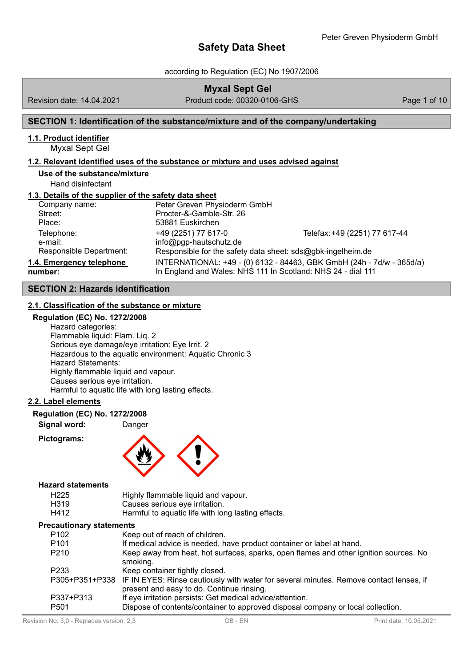according to Regulation (EC) No 1907/2006

|                                                       | <b>Myxal Sept Gel</b>                                                              |                                                                       |              |
|-------------------------------------------------------|------------------------------------------------------------------------------------|-----------------------------------------------------------------------|--------------|
| Revision date: 14.04.2021                             | Product code: 00320-0106-GHS                                                       |                                                                       | Page 1 of 10 |
|                                                       | SECTION 1: Identification of the substance/mixture and of the company/undertaking  |                                                                       |              |
| 1.1. Product identifier<br>Myxal Sept Gel             |                                                                                    |                                                                       |              |
|                                                       | 1.2. Relevant identified uses of the substance or mixture and uses advised against |                                                                       |              |
| Use of the substance/mixture<br>Hand disinfectant     |                                                                                    |                                                                       |              |
| 1.3. Details of the supplier of the safety data sheet |                                                                                    |                                                                       |              |
| Company name:<br>Street:                              | Peter Greven Physioderm GmbH<br>Procter-&-Gamble-Str. 26                           |                                                                       |              |
| Place:                                                | 53881 Euskirchen                                                                   |                                                                       |              |
| Telephone:                                            | +49 (2251) 77 617-0                                                                | Telefax: +49 (2251) 77 617-44                                         |              |
| e-mail:                                               | info@pgp-hautschutz.de                                                             |                                                                       |              |
| Responsible Department:                               | Responsible for the safety data sheet: sds@gbk-ingelheim.de                        |                                                                       |              |
| 1.4. Emergency telephone                              |                                                                                    | INTERNATIONAL: +49 - (0) 6132 - 84463, GBK GmbH (24h - 7d/w - 365d/a) |              |
| number:                                               | In England and Wales: NHS 111 In Scotland: NHS 24 - dial 111                       |                                                                       |              |

# **SECTION 2: Hazards identification**

# **2.1. Classification of the substance or mixture**

# **Regulation (EC) No. 1272/2008**

Hazard categories: Flammable liquid: Flam. Liq. 2 Serious eye damage/eye irritation: Eye Irrit. 2 Hazardous to the aquatic environment: Aquatic Chronic 3 Hazard Statements: Highly flammable liquid and vapour. Causes serious eye irritation. Harmful to aquatic life with long lasting effects.

### **2.2. Label elements**

**Regulation (EC) No. 1272/2008**

**Signal word:** Danger

**Pictograms:**



### **Hazard statements**

| H225 | Highly flammable liquid and vapour.                |
|------|----------------------------------------------------|
| H319 | Causes serious eye irritation.                     |
| H412 | Harmful to aquatic life with long lasting effects. |

# **Precautionary statements**

| scaulional y Stalenients |                                                                                                                                                    |
|--------------------------|----------------------------------------------------------------------------------------------------------------------------------------------------|
| P <sub>102</sub>         | Keep out of reach of children.                                                                                                                     |
| P <sub>101</sub>         | If medical advice is needed, have product container or label at hand.                                                                              |
| P <sub>210</sub>         | Keep away from heat, hot surfaces, sparks, open flames and other ignition sources. No<br>smoking.                                                  |
| P <sub>2</sub> 33        | Keep container tightly closed.                                                                                                                     |
|                          | P305+P351+P338 IF IN EYES: Rinse cautiously with water for several minutes. Remove contact lenses, if<br>present and easy to do. Continue rinsing. |
|                          |                                                                                                                                                    |
| P337+P313                | If eye irritation persists: Get medical advice/attention.                                                                                          |
| P <sub>501</sub>         | Dispose of contents/container to approved disposal company or local collection.                                                                    |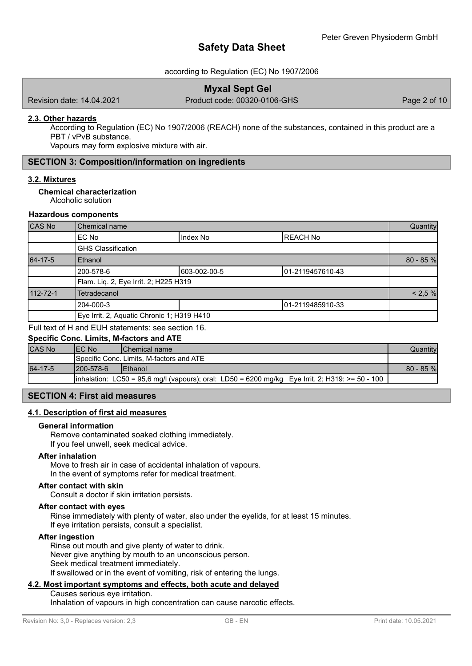# according to Regulation (EC) No 1907/2006

Revision date: 14.04.2021 Product code: 00320-0106-GHS Page 2 of 10

## **2.3. Other hazards**

According to Regulation (EC) No 1907/2006 (REACH) none of the substances, contained in this product are a PBT / vPvB substance.

Vapours may form explosive mixture with air.

# **SECTION 3: Composition/information on ingredients**

### **3.2. Mixtures**

**Chemical characterization**

Alcoholic solution

### **Hazardous components**

| CAS No   | Chemical name                              |              | Quantity          |             |
|----------|--------------------------------------------|--------------|-------------------|-------------|
|          | EC No                                      | Index No     | <b>REACH No</b>   |             |
|          | <b>GHS Classification</b>                  |              |                   |             |
| 64-17-5  | Ethanol                                    |              |                   | $80 - 85 %$ |
|          | 200-578-6                                  | 603-002-00-5 | 101-2119457610-43 |             |
|          | Flam. Liq. 2, Eye Irrit. 2; H225 H319      |              |                   |             |
| 112-72-1 | Tetradecanol                               |              |                   | < 2.5 %     |
|          | 204-000-3                                  |              | 101-2119485910-33 |             |
|          | Eye Irrit. 2, Aquatic Chronic 1; H319 H410 |              |                   |             |

Full text of H and EUH statements: see section 16.

# **Specific Conc. Limits, M-factors and ATE**

| <b>CAS No</b> | <b>IEC No</b>                                    | <b>IChemical name</b>                                                                            | Quantitvl   |
|---------------|--------------------------------------------------|--------------------------------------------------------------------------------------------------|-------------|
|               | <b>ISpecific Conc. Limits, M-factors and ATE</b> |                                                                                                  |             |
| 64-17-5       | 1200-578-6                                       | <b>IEthanol</b>                                                                                  | $80 - 85$ % |
|               |                                                  | linhalation: LC50 = 95.6 mg/l (vapours); oral: LD50 = 6200 mg/kg Eye Irrit. 2; H319: >= 50 - 100 |             |

# **SECTION 4: First aid measures**

### **4.1. Description of first aid measures**

#### **General information**

Remove contaminated soaked clothing immediately. If you feel unwell, seek medical advice.

### **After inhalation**

Move to fresh air in case of accidental inhalation of vapours. In the event of symptoms refer for medical treatment.

### **After contact with skin**

Consult a doctor if skin irritation persists.

### **After contact with eyes**

Rinse immediately with plenty of water, also under the eyelids, for at least 15 minutes. If eye irritation persists, consult a specialist.

### **After ingestion**

Rinse out mouth and give plenty of water to drink. Never give anything by mouth to an unconscious person. Seek medical treatment immediately.

If swallowed or in the event of vomiting, risk of entering the lungs.

### **4.2. Most important symptoms and effects, both acute and delayed**

Causes serious eye irritation. Inhalation of vapours in high concentration can cause narcotic effects.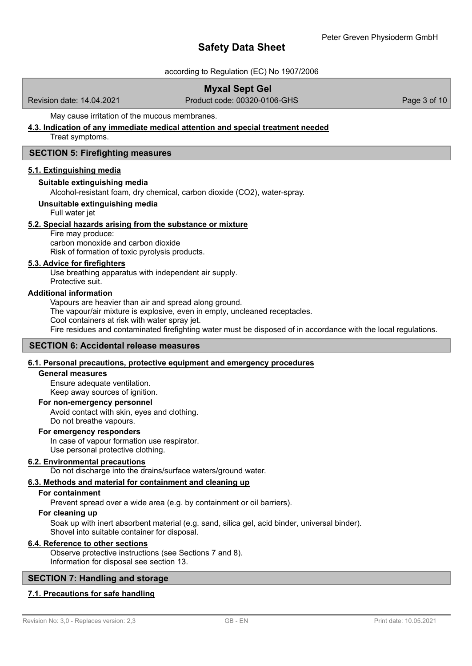# according to Regulation (EC) No 1907/2006

# **Myxal Sept Gel**

Revision date: 14.04.2021 Product code: 00320-0106-GHS Page 3 of 10

## May cause irritation of the mucous membranes.

# **4.3. Indication of any immediate medical attention and special treatment needed**

Treat symptoms.

## **SECTION 5: Firefighting measures**

### **5.1. Extinguishing media**

### **Suitable extinguishing media**

Alcohol-resistant foam, dry chemical, carbon dioxide (CO2), water-spray.

# **Unsuitable extinguishing media**

Full water jet

### **5.2. Special hazards arising from the substance or mixture**

Fire may produce:

carbon monoxide and carbon dioxide Risk of formation of toxic pyrolysis products.

## **5.3. Advice for firefighters**

Use breathing apparatus with independent air supply. Protective suit.

### **Additional information**

Vapours are heavier than air and spread along ground.

The vapour/air mixture is explosive, even in empty, uncleaned receptacles.

Cool containers at risk with water spray jet.

Fire residues and contaminated firefighting water must be disposed of in accordance with the local regulations.

# **SECTION 6: Accidental release measures**

# **6.1. Personal precautions, protective equipment and emergency procedures**

### **General measures**

Ensure adequate ventilation. Keep away sources of ignition.

### **For non-emergency personnel**

Avoid contact with skin, eyes and clothing.

Do not breathe vapours.

### **For emergency responders**

In case of vapour formation use respirator.

Use personal protective clothing.

# **6.2. Environmental precautions**

Do not discharge into the drains/surface waters/ground water.

# **6.3. Methods and material for containment and cleaning up**

### **For containment**

Prevent spread over a wide area (e.g. by containment or oil barriers).

# **For cleaning up**

Soak up with inert absorbent material (e.g. sand, silica gel, acid binder, universal binder). Shovel into suitable container for disposal.

### **6.4. Reference to other sections**

Observe protective instructions (see Sections 7 and 8). Information for disposal see section 13.

# **SECTION 7: Handling and storage**

# **7.1. Precautions for safe handling**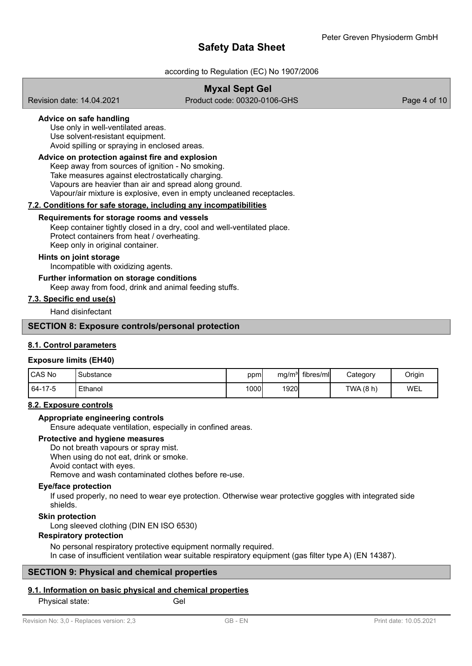# according to Regulation (EC) No 1907/2006

# **Myxal Sept Gel**

Revision date: 14.04.2021 Product code: 00320-0106-GHS Page 4 of 10

# **Advice on safe handling**

Use only in well-ventilated areas. Use solvent-resistant equipment. Avoid spilling or spraying in enclosed areas.

## **Advice on protection against fire and explosion**

Keep away from sources of ignition - No smoking. Take measures against electrostatically charging. Vapours are heavier than air and spread along ground. Vapour/air mixture is explosive, even in empty uncleaned receptacles.

### **7.2. Conditions for safe storage, including any incompatibilities**

### **Requirements for storage rooms and vessels**

Keep container tightly closed in a dry, cool and well-ventilated place. Protect containers from heat / overheating. Keep only in original container.

### **Hints on joint storage**

Incompatible with oxidizing agents.

# **Further information on storage conditions**

Keep away from food, drink and animal feeding stuffs.

## **7.3. Specific end use(s)**

Hand disinfectant

### **SECTION 8: Exposure controls/personal protection**

# **8.1. Control parameters**

### **Exposure limits (EH40)**

| CAS No  | Substance | ppm          | mg/m <sup>3</sup> | fibres/ml | Category | Origin |
|---------|-----------|--------------|-------------------|-----------|----------|--------|
| 64-17-5 | Ethanol   | <b>1000i</b> | 1920              |           | TWA(8 h) | WEL    |

### **8.2. Exposure controls**

### **Appropriate engineering controls**

Ensure adequate ventilation, especially in confined areas.

## **Protective and hygiene measures**

Do not breath vapours or spray mist. When using do not eat, drink or smoke. Avoid contact with eyes. Remove and wash contaminated clothes before re-use.

### **Eye/face protection**

If used properly, no need to wear eye protection. Otherwise wear protective goggles with integrated side shields.

### **Skin protection**

Long sleeved clothing (DIN EN ISO 6530)

## **Respiratory protection**

No personal respiratory protective equipment normally required. In case of insufficient ventilation wear suitable respiratory equipment (gas filter type A) (EN 14387).

# **SECTION 9: Physical and chemical properties**

# **9.1. Information on basic physical and chemical properties**

Physical state: Gel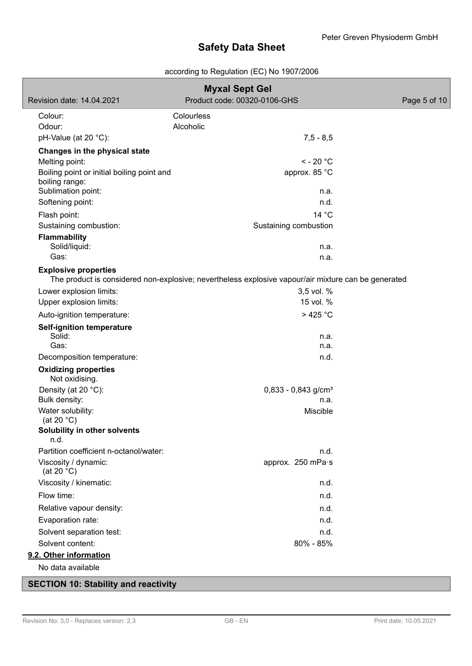# according to Regulation (EC) No 1907/2006

| <b>Myxal Sept Gel</b>                                        |                                                                                                     |              |
|--------------------------------------------------------------|-----------------------------------------------------------------------------------------------------|--------------|
| Revision date: 14.04.2021                                    | Product code: 00320-0106-GHS                                                                        | Page 5 of 10 |
| Colour:                                                      | Colourless                                                                                          |              |
| Odour:                                                       | Alcoholic                                                                                           |              |
| pH-Value (at 20 °C):                                         | $7,5 - 8,5$                                                                                         |              |
| Changes in the physical state                                |                                                                                                     |              |
| Melting point:                                               | $<$ - 20 $^{\circ}$ C                                                                               |              |
| Boiling point or initial boiling point and<br>boiling range: | approx. 85 °C                                                                                       |              |
| Sublimation point:                                           | n.a.                                                                                                |              |
| Softening point:                                             | n.d.                                                                                                |              |
| Flash point:                                                 | 14 °C                                                                                               |              |
| Sustaining combustion:                                       | Sustaining combustion                                                                               |              |
| <b>Flammability</b>                                          |                                                                                                     |              |
| Solid/liquid:<br>Gas:                                        | n.a.<br>n.a.                                                                                        |              |
|                                                              |                                                                                                     |              |
| <b>Explosive properties</b>                                  | The product is considered non-explosive; nevertheless explosive vapour/air mixture can be generated |              |
| Lower explosion limits:                                      | 3,5 vol. %                                                                                          |              |
| Upper explosion limits:                                      | 15 vol. %                                                                                           |              |
| Auto-ignition temperature:                                   | $>425$ °C                                                                                           |              |
| <b>Self-ignition temperature</b>                             |                                                                                                     |              |
| Solid:                                                       | n.a.                                                                                                |              |
| Gas:                                                         | n.a.                                                                                                |              |
| Decomposition temperature:                                   | n.d.                                                                                                |              |
| <b>Oxidizing properties</b><br>Not oxidising.                |                                                                                                     |              |
| Density (at 20 °C):                                          | $0,833 - 0,843$ g/cm <sup>3</sup>                                                                   |              |
| Bulk density:                                                | n.a.                                                                                                |              |
| Water solubility:<br>(at 20 $^{\circ}$ C)                    | Miscible                                                                                            |              |
| Solubility in other solvents<br>n.d.                         |                                                                                                     |              |
| Partition coefficient n-octanol/water:                       | n.d.                                                                                                |              |
| Viscosity / dynamic:<br>(at 20 $°C$ )                        | approx. 250 mPa·s                                                                                   |              |
| Viscosity / kinematic:                                       | n.d.                                                                                                |              |
| Flow time:                                                   | n.d.                                                                                                |              |
| Relative vapour density:                                     | n.d.                                                                                                |              |
| Evaporation rate:                                            | n.d.                                                                                                |              |
| Solvent separation test:                                     | n.d.                                                                                                |              |
| Solvent content:                                             | 80% - 85%                                                                                           |              |
| 9.2. Other information                                       |                                                                                                     |              |
| No data available                                            |                                                                                                     |              |
|                                                              |                                                                                                     |              |

**SECTION 10: Stability and reactivity**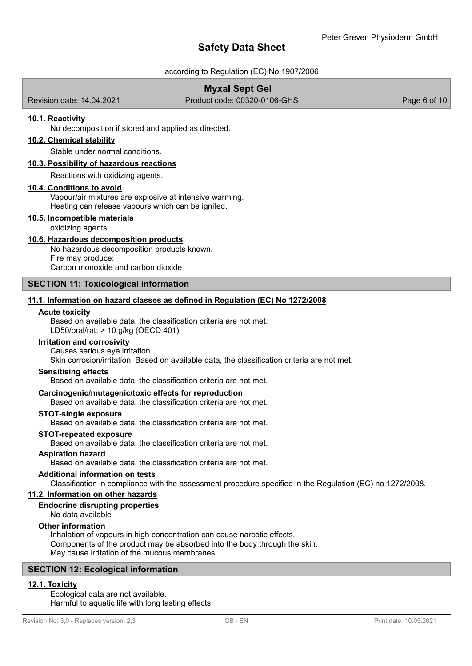# according to Regulation (EC) No 1907/2006

# **Myxal Sept Gel**

Revision date: 14.04.2021 Product code: 00320-0106-GHS Page 6 of 10

## **10.1. Reactivity**

No decomposition if stored and applied as directed.

# **10.2. Chemical stability**

Stable under normal conditions.

#### **10.3. Possibility of hazardous reactions**

Reactions with oxidizing agents.

#### **10.4. Conditions to avoid**

Vapour/air mixtures are explosive at intensive warming. Heating can release vapours which can be ignited.

### **10.5. Incompatible materials**

oxidizing agents

### **10.6. Hazardous decomposition products**

No hazardous decomposition products known. Fire may produce: Carbon monoxide and carbon dioxide

### **SECTION 11: Toxicological information**

### **11.1. Information on hazard classes as defined in Regulation (EC) No 1272/2008**

#### **Acute toxicity**

Based on available data, the classification criteria are not met. LD50/oral/rat: > 10 g/kg (OECD 401)

### **Irritation and corrosivity**

Causes serious eye irritation.

Skin corrosion/irritation: Based on available data, the classification criteria are not met.

#### **Sensitising effects**

Based on available data, the classification criteria are not met.

## **Carcinogenic/mutagenic/toxic effects for reproduction**

Based on available data, the classification criteria are not met.

## **STOT-single exposure**

Based on available data, the classification criteria are not met.

#### **STOT-repeated exposure**

Based on available data, the classification criteria are not met.

#### **Aspiration hazard**

Based on available data, the classification criteria are not met.

#### **Additional information on tests**

Classification in compliance with the assessment procedure specified in the Regulation (EC) no 1272/2008.

# **11.2. Information on other hazards**

### **Endocrine disrupting properties**

No data available

### **Other information**

Inhalation of vapours in high concentration can cause narcotic effects. Components of the product may be absorbed into the body through the skin. May cause irritation of the mucous membranes.

# **SECTION 12: Ecological information**

# **12.1. Toxicity**

Ecological data are not available. Harmful to aquatic life with long lasting effects.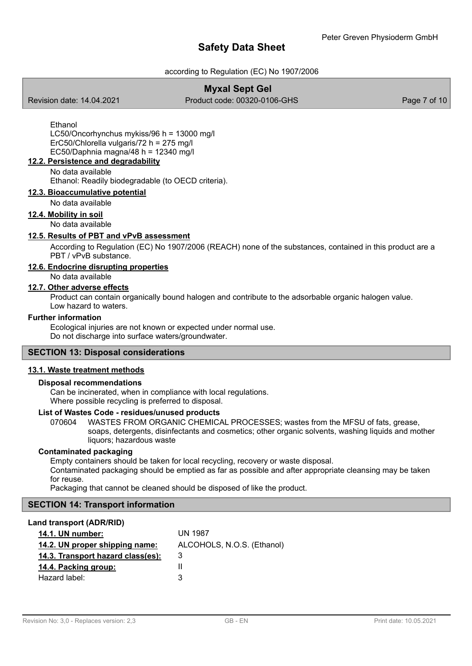# according to Regulation (EC) No 1907/2006

# **Myxal Sept Gel**

Revision date: 14.04.2021 Product code: 00320-0106-GHS Page 7 of 10

Ethanol LC50/Oncorhynchus mykiss/96 h = 13000 mg/l ErC50/Chlorella vulgaris/72 h = 275 mg/l EC50/Daphnia magna/48 h =  $12340$  mg/l

# **12.2. Persistence and degradability**

No data available

Ethanol: Readily biodegradable (to OECD criteria).

# **12.3. Bioaccumulative potential**

No data available

### **12.4. Mobility in soil**

No data available

# **12.5. Results of PBT and vPvB assessment**

According to Regulation (EC) No 1907/2006 (REACH) none of the substances, contained in this product are a PBT / vPvB substance.

# **12.6. Endocrine disrupting properties**

No data available

# **12.7. Other adverse effects**

Product can contain organically bound halogen and contribute to the adsorbable organic halogen value. Low hazard to waters.

# **Further information**

Ecological injuries are not known or expected under normal use. Do not discharge into surface waters/groundwater.

# **SECTION 13: Disposal considerations**

### **13.1. Waste treatment methods**

### **Disposal recommendations**

Can be incinerated, when in compliance with local regulations. Where possible recycling is preferred to disposal.

# **List of Wastes Code - residues/unused products**

070604 WASTES FROM ORGANIC CHEMICAL PROCESSES; wastes from the MFSU of fats, grease, soaps, detergents, disinfectants and cosmetics; other organic solvents, washing liquids and mother liquors; hazardous waste

### **Contaminated packaging**

Empty containers should be taken for local recycling, recovery or waste disposal.

Contaminated packaging should be emptied as far as possible and after appropriate cleansing may be taken for reuse.

Packaging that cannot be cleaned should be disposed of like the product.

# **SECTION 14: Transport information**

### **Land transport (ADR/RID)**

| 14.1. UN number:                  | UN 1987                    |
|-----------------------------------|----------------------------|
| 14.2. UN proper shipping name:    | ALCOHOLS, N.O.S. (Ethanol) |
| 14.3. Transport hazard class(es): | 3                          |
| 14.4. Packing group:              |                            |
| Hazard label:                     | З                          |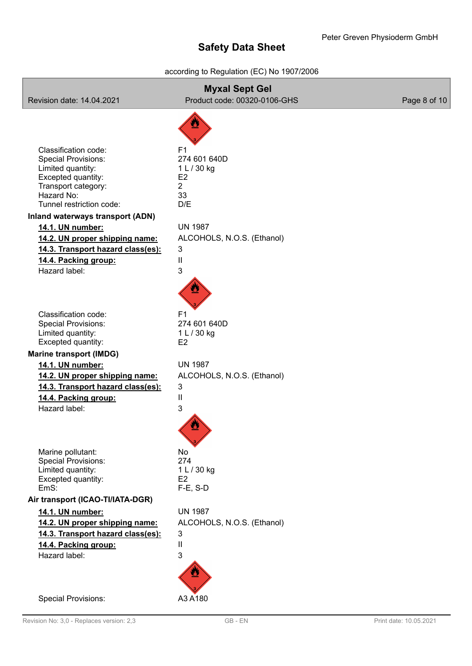# according to Regulation (EC) No 1907/2006

| Revision date: 14.04.2021                                                                                                                                                                                                                                                                                                              | <b>Myxal Sept Gel</b><br>Product code: 00320-0106-GHS                                                                                                                    | Page 8 of 10 |
|----------------------------------------------------------------------------------------------------------------------------------------------------------------------------------------------------------------------------------------------------------------------------------------------------------------------------------------|--------------------------------------------------------------------------------------------------------------------------------------------------------------------------|--------------|
| Classification code:<br><b>Special Provisions:</b><br>Limited quantity:<br>Excepted quantity:<br>Transport category:<br>Hazard No:<br>Tunnel restriction code:<br>Inland waterways transport (ADN)<br>14.1. UN number:<br>14.2. UN proper shipping name:<br>14.3. Transport hazard class(es):<br>14.4. Packing group:<br>Hazard label: | F <sub>1</sub><br>274 601 640D<br>1 L / 30 kg<br>E <sub>2</sub><br>$\overline{2}$<br>33<br>D/E<br><b>UN 1987</b><br>ALCOHOLS, N.O.S. (Ethanol)<br>3<br>$\mathsf{I}$<br>3 |              |
| Classification code:<br><b>Special Provisions:</b><br>Limited quantity:<br>Excepted quantity:<br><b>Marine transport (IMDG)</b><br>14.1. UN number:<br>14.2. UN proper shipping name:<br>14.3. Transport hazard class(es):<br>14.4. Packing group:<br>Hazard label:                                                                    | F <sub>1</sub><br>274 601 640D<br>1 L / 30 kg<br>E <sub>2</sub><br><b>UN 1987</b><br>ALCOHOLS, N.O.S. (Ethanol)<br>3<br>$\mathsf{I}$<br>3                                |              |
| Marine pollutant:<br><b>Special Provisions:</b><br>Limited quantity:<br>Excepted quantity:<br>EmS:<br>Air transport (ICAO-TI/IATA-DGR)<br>14.1. UN number:<br>14.2. UN proper shipping name:<br>14.3. Transport hazard class(es):<br>14.4. Packing group:<br>Hazard label:                                                             | No<br>274<br>1 L / 30 kg<br>E <sub>2</sub><br>F-E, S-D<br><b>UN 1987</b><br>ALCOHOLS, N.O.S. (Ethanol)<br>3<br>$\mathsf{I}$<br>3                                         |              |
| <b>Special Provisions:</b>                                                                                                                                                                                                                                                                                                             | A3 A180                                                                                                                                                                  |              |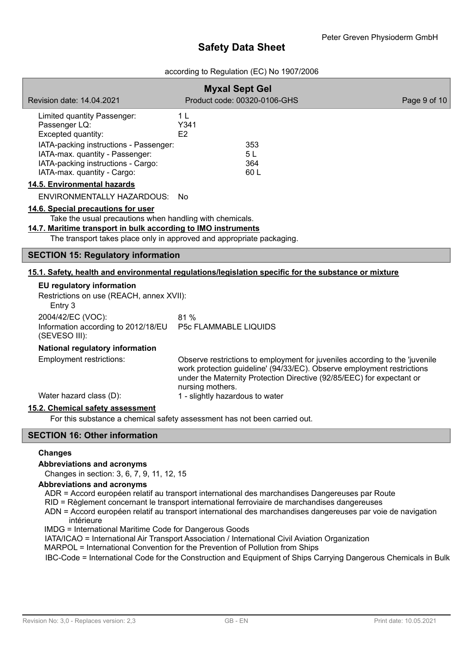# according to Regulation (EC) No 1907/2006

|                                                                                                                                                                                                                                          | <b>Myxal Sept Gel</b>                                                                                                                                                                                                                              |              |
|------------------------------------------------------------------------------------------------------------------------------------------------------------------------------------------------------------------------------------------|----------------------------------------------------------------------------------------------------------------------------------------------------------------------------------------------------------------------------------------------------|--------------|
| Revision date: 14.04.2021                                                                                                                                                                                                                | Product code: 00320-0106-GHS                                                                                                                                                                                                                       | Page 9 of 10 |
| Limited quantity Passenger:<br>Passenger LQ:<br>Excepted quantity:<br>IATA-packing instructions - Passenger:                                                                                                                             | 1 <sub>L</sub><br>Y341<br>E2<br>353                                                                                                                                                                                                                |              |
| IATA-max. quantity - Passenger:<br>IATA-packing instructions - Cargo:<br>IATA-max. quantity - Cargo:                                                                                                                                     | 5L<br>364<br>60 L                                                                                                                                                                                                                                  |              |
| 14.5. Environmental hazards                                                                                                                                                                                                              |                                                                                                                                                                                                                                                    |              |
| ENVIRONMENTALLY HAZARDOUS: No                                                                                                                                                                                                            |                                                                                                                                                                                                                                                    |              |
| 14.6. Special precautions for user<br>Take the usual precautions when handling with chemicals.<br>14.7. Maritime transport in bulk according to IMO instruments<br>The transport takes place only in approved and appropriate packaging. |                                                                                                                                                                                                                                                    |              |
| <b>SECTION 15: Regulatory information</b>                                                                                                                                                                                                |                                                                                                                                                                                                                                                    |              |
|                                                                                                                                                                                                                                          | 15.1. Safety, health and environmental regulations/legislation specific for the substance or mixture                                                                                                                                               |              |
| EU regulatory information<br>Restrictions on use (REACH, annex XVII):<br>Entry 3                                                                                                                                                         |                                                                                                                                                                                                                                                    |              |
| 2004/42/EC (VOC):<br>Information according to 2012/18/EU<br>(SEVESO III):                                                                                                                                                                | 81 %<br><b>P5c FLAMMABLE LIQUIDS</b>                                                                                                                                                                                                               |              |
| National regulatory information                                                                                                                                                                                                          |                                                                                                                                                                                                                                                    |              |
| <b>Employment restrictions:</b>                                                                                                                                                                                                          | Observe restrictions to employment for juveniles according to the 'juvenile<br>work protection guideline' (94/33/EC). Observe employment restrictions<br>under the Maternity Protection Directive (92/85/EEC) for expectant or<br>nursing mothers. |              |
| Water hazard class (D):                                                                                                                                                                                                                  | 1 - slightly hazardous to water                                                                                                                                                                                                                    |              |
| 15.2. Chemical safety assessment                                                                                                                                                                                                         | For this substance a chemical safety assessment has not been carried out.                                                                                                                                                                          |              |

# **SECTION 16: Other information**

# **Changes**

### **Abbreviations and acronyms**

Changes in section: 3, 6, 7, 9, 11, 12, 15

### **Abbreviations and acronyms**

ADR = Accord européen relatif au transport international des marchandises Dangereuses par Route

- RID = Règlement concernant le transport international ferroviaire de marchandises dangereuses
- ADN = Accord européen relatif au transport international des marchandises dangereuses par voie de navigation intérieure

IMDG = International Maritime Code for Dangerous Goods

- IATA/ICAO = International Air Transport Association / International Civil Aviation Organization
- MARPOL = International Convention for the Prevention of Pollution from Ships

IBC-Code = International Code for the Construction and Equipment of Ships Carrying Dangerous Chemicals in Bulk